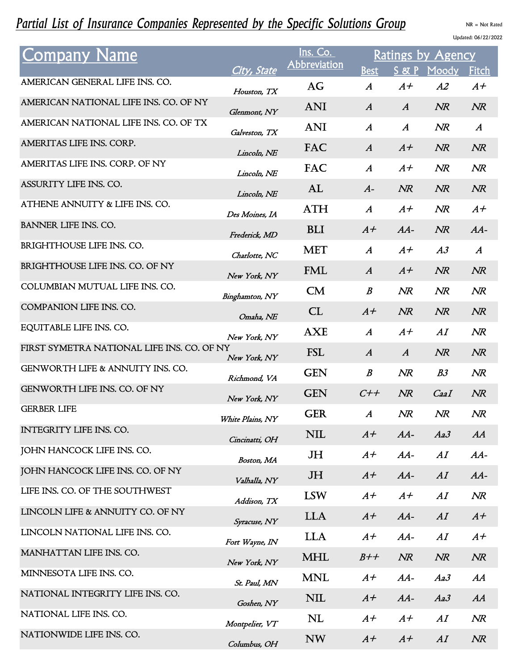## Partial List of Insurance Companies Represented by the Specific Solutions Group NR = Not Rated

Updated: 06/22/2022

| <b>Company Name</b>                         | City, State                   | Ins. Co.<br><b>Abbreviation</b> | Ratings by Agency<br>Fitch<br><b>Best</b><br>$S \&$<br>Moody |                  |                |                  |  |
|---------------------------------------------|-------------------------------|---------------------------------|--------------------------------------------------------------|------------------|----------------|------------------|--|
| AMERICAN GENERAL LIFE INS. CO.              | Houston, TX                   | AG                              | $\boldsymbol{A}$                                             | $A+$             | A2             | $A+$             |  |
| AMERICAN NATIONAL LIFE INS. CO. OF NY       |                               | <b>ANI</b>                      | $\boldsymbol{A}$                                             | $\boldsymbol{A}$ | NR             | NR               |  |
| AMERICAN NATIONAL LIFE INS. CO. OF TX       | Glenmont, NY<br>Galveston, TX | <b>ANI</b>                      | $\boldsymbol{A}$                                             | $\boldsymbol{A}$ | NR             | $\boldsymbol{A}$ |  |
| AMERITAS LIFE INS. CORP.                    | Lincoln, NE                   | FAC                             | $\boldsymbol{A}$                                             | $A+$             | NR             | NR               |  |
| AMERITAS LIFE INS. CORP. OF NY              | Lincoln, NE                   | FAC                             | $\boldsymbol{A}$                                             | $A+$             | NR             | NR               |  |
| ASSURITY LIFE INS. CO.                      | Lincoln, NE                   | AL                              | $A-$                                                         | NR               | NR             | NR               |  |
| ATHENE ANNUITY & LIFE INS. CO.              | Des Moines, IA                | <b>ATH</b>                      | $\mathcal{A}$                                                | $A+$             | NR             | $A+$             |  |
| BANNER LIFE INS. CO.                        | Frederick, MD                 | <b>BLI</b>                      | $A+$                                                         | $AA-$            | NR             | $AA-$            |  |
| BRIGHTHOUSE LIFE INS. CO.                   | Charlotte, NC                 | <b>MET</b>                      | $\boldsymbol{A}$                                             | $A+$             | A3             | $\boldsymbol{A}$ |  |
| BRIGHTHOUSE LIFE INS. CO. OF NY             | New York, NY                  | FML                             | $\boldsymbol{A}$                                             | $A+$             | NR             | NR               |  |
| COLUMBIAN MUTUAL LIFE INS. CO.              | Binghamton, NY                | CM                              | $\boldsymbol{B}$                                             | NR               | NR             | NR               |  |
| COMPANION LIFE INS. CO.                     | Omaha, NE                     | CL                              | $A+$                                                         | NR               | NR             | NR               |  |
| EQUITABLE LIFE INS. CO.                     | New York, NY                  | <b>AXE</b>                      | $\boldsymbol{A}$                                             | $A+$             | AI             | NR               |  |
| FIRST SYMETRA NATIONAL LIFE INS. CO. OF NY  | New York, NY                  | <b>FSL</b>                      | $\boldsymbol{A}$                                             | $\boldsymbol{A}$ | NR             | NR               |  |
| <b>GENWORTH LIFE &amp; ANNUITY INS. CO.</b> | Richmond, VA                  | <b>GEN</b>                      | $\boldsymbol{B}$                                             | NR               | B <sub>3</sub> | NR               |  |
| <b>GENWORTH LIFE INS. CO. OF NY</b>         | New York, NY                  | <b>GEN</b>                      | $C++$                                                        | NR               | CaaI           | NR               |  |
| <b>GERBER LIFE</b>                          | White Plains, NY              | <b>GER</b>                      | $\boldsymbol{A}$                                             | NR               | NR             | NR               |  |
| INTEGRITY LIFE INS. CO.                     | Cincinatti, OH                | NIL                             | $A+$                                                         | $AA-$            | Aa3            | AA               |  |
| JOHN HANCOCK LIFE INS. CO.                  | Boston, MA                    | JH                              | $A+$                                                         | $AA-$            | AI             | $AA-$            |  |
| JOHN HANCOCK LIFE INS. CO. OF NY            | Valhalla, NY                  | JH                              | $A+$                                                         | $AA-$            | AI             | $AA-$            |  |
| LIFE INS. CO. OF THE SOUTHWEST              | Addison, TX                   | <b>LSW</b>                      | $A+$                                                         | $A+$             | AI             | NR               |  |
| LINCOLN LIFE & ANNUITY CO. OF NY            | Syracuse, NY                  | <b>LLA</b>                      | $A+$                                                         | $AA-$            | AI             | $A+$             |  |
| LINCOLN NATIONAL LIFE INS. CO.              | Fort Wayne, IN                | <b>LLA</b>                      | $A+$                                                         | $AA-$            | AI             | $A+$             |  |
| MANHATTAN LIFE INS. CO.                     | New York, NY                  | MHL                             | $B++$                                                        | NR               | NR             | NR               |  |
| MINNESOTA LIFE INS. CO.                     | St. Paul, MN                  | <b>MNL</b>                      | $A+$                                                         | $AA-$            | Aa3            | AA               |  |
| NATIONAL INTEGRITY LIFE INS. CO.            | Goshen, NY                    | <b>NIL</b>                      | $A+$                                                         | $AA-$            | Aa3            | AA               |  |
| NATIONAL LIFE INS. CO.                      | Montpelier, VT                | NL                              | $A+$                                                         | $A+$             | AI             | NR               |  |
| NATIONWIDE LIFE INS. CO.                    | Columbus, OH                  | <b>NW</b>                       | $A+$                                                         | $A+$             | AI             | NR               |  |